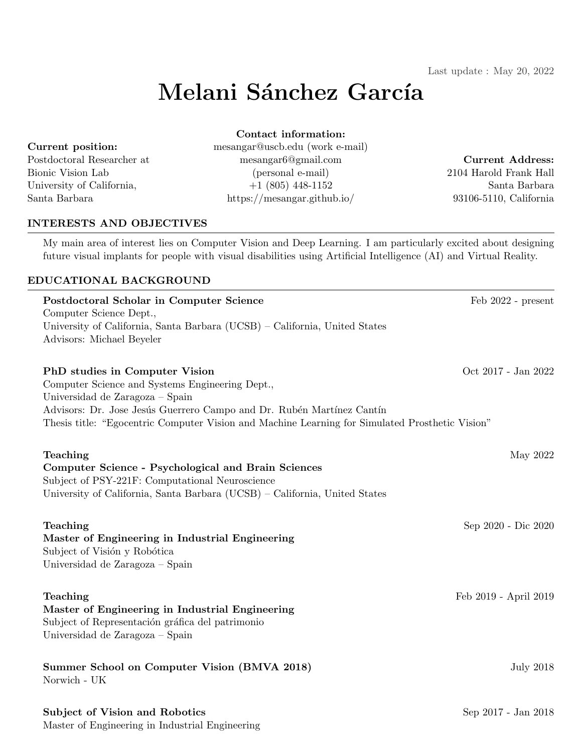# Melani Sánchez García

#### Current position:

Postdoctoral Researcher at Bionic Vision Lab University of California, Santa Barbara

mesangar@uscb.edu (work e-mail) mesangar6@gmail.com (personal e-mail) +1 (805) 448-1152 https://mesangar.github.io/

# Contact information:

# Current Address:

2104 Harold Frank Hall Santa Barbara 93106-5110, California

#### INTERESTS AND OBJECTIVES

My main area of interest lies on Computer Vision and Deep Learning. I am particularly excited about designing future visual implants for people with visual disabilities using Artificial Intelligence (AI) and Virtual Reality.

#### EDUCATIONAL BACKGROUND

| Postdoctoral Scholar in Computer Science<br>Computer Science Dept.,<br>University of California, Santa Barbara (UCSB) – California, United States<br>Advisors: Michael Beyeler                                                                                                                   | Feb 2022 - present    |
|--------------------------------------------------------------------------------------------------------------------------------------------------------------------------------------------------------------------------------------------------------------------------------------------------|-----------------------|
| PhD studies in Computer Vision<br>Computer Science and Systems Engineering Dept.,<br>Universidad de Zaragoza - Spain<br>Advisors: Dr. Jose Jesús Guerrero Campo and Dr. Rubén Martínez Cantín<br>Thesis title: "Egocentric Computer Vision and Machine Learning for Simulated Prosthetic Vision" | Oct 2017 - Jan 2022   |
| Teaching<br><b>Computer Science - Psychological and Brain Sciences</b><br>Subject of PSY-221F: Computational Neuroscience<br>University of California, Santa Barbara (UCSB) - California, United States                                                                                          | May 2022              |
| Teaching<br>Master of Engineering in Industrial Engineering<br>Subject of Visión y Robótica<br>Universidad de Zaragoza – Spain                                                                                                                                                                   | Sep 2020 - Dic 2020   |
| Teaching<br>Master of Engineering in Industrial Engineering<br>Subject of Representación gráfica del patrimonio<br>Universidad de Zaragoza - Spain                                                                                                                                               | Feb 2019 - April 2019 |
| Summer School on Computer Vision (BMVA 2018)<br>Norwich - UK                                                                                                                                                                                                                                     | <b>July 2018</b>      |
| Subject of Vision and Robotics<br>Master of Engineering in Industrial Engineering                                                                                                                                                                                                                | Sep 2017 - Jan 2018   |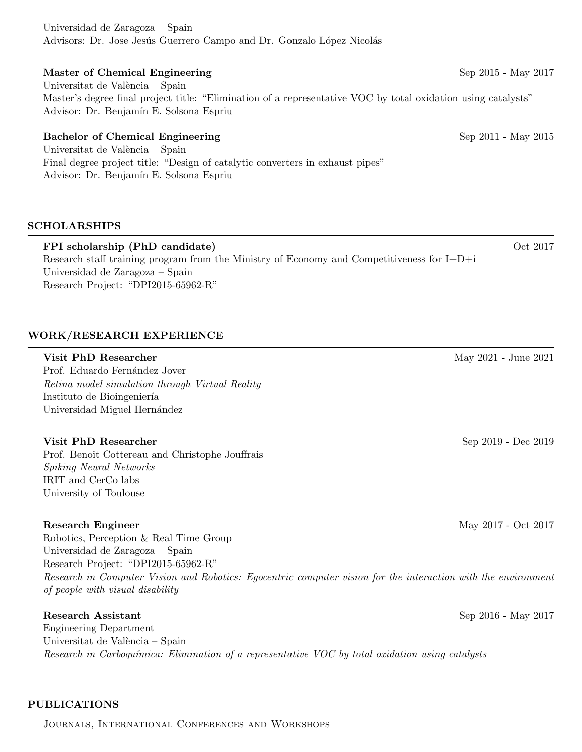Universidad de Zaragoza – Spain Advisors: Dr. Jose Jesús Guerrero Campo and Dr. Gonzalo López Nicolás

# Master of Chemical Engineering Sep 2015 - May 2017 Universitat de València – Spain Master's degree final project title: "Elimination of a representative VOC by total oxidation using catalysts"

# Bachelor of Chemical Engineering Sep 2011 - May 2015

Advisor: Dr. Benjamín E. Solsona Espriu

Universitat de València – Spain Final degree project title: "Design of catalytic converters in exhaust pipes" Advisor: Dr. Benjamín E. Solsona Espriu

# SCHOLARSHIPS

FPI scholarship (PhD candidate)  $\qquad \qquad$  Oct 2017 Research staff training program from the Ministry of Economy and Competitiveness for I+D+i Universidad de Zaragoza – Spain Research Project: "DPI2015-65962-R"

# WORK/RESEARCH EXPERIENCE

#### Visit PhD Researcher May 2021 - June 2021

Prof. Eduardo Fernández Jover Retina model simulation through Virtual Reality Instituto de Bioingeniería Universidad Miguel Hernández

#### Visit PhD Researcher Sep 2019 - Dec 2019

Prof. Benoit Cottereau and Christophe Jouffrais Spiking Neural Networks IRIT and CerCo labs University of Toulouse

#### Research Engineer May 2017 - Oct 2017

Robotics, Perception & Real Time Group Universidad de Zaragoza – Spain Research Project: "DPI2015-65962-R" Research in Computer Vision and Robotics: Egocentric computer vision for the interaction with the environment of people with visual disability

#### Research Assistant Sep 2016 - May 2017

Engineering Department Universitat de València – Spain Research in Carboquímica: Elimination of a representative VOC by total oxidation using catalysts

# PUBLICATIONS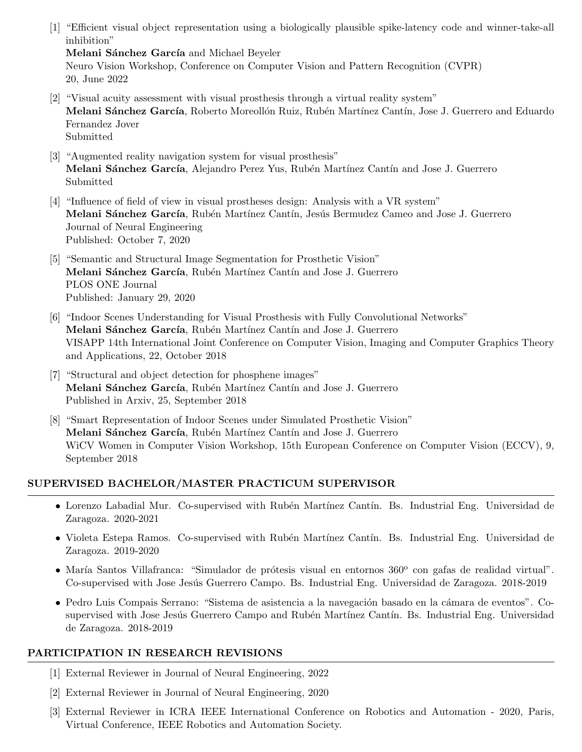[1] "Efficient visual object representation using a biologically plausible spike-latency code and winner-take-all inhibition"

Melani Sánchez García and Michael Beyeler

Neuro Vision Workshop, Conference on Computer Vision and Pattern Recognition (CVPR) 20, June 2022

- [2] "Visual acuity assessment with visual prosthesis through a virtual reality system" Melani Sánchez García, Roberto Moreollón Ruiz, Rubén Martínez Cantín, Jose J. Guerrero and Eduardo Fernandez Jover Submitted
- [3] "Augmented reality navigation system for visual prosthesis" Melani Sánchez García, Alejandro Perez Yus, Rubén Martínez Cantín and Jose J. Guerrero Submitted
- [4] "Influence of field of view in visual prostheses design: Analysis with a VR system" Melani Sánchez García, Rubén Martínez Cantín, Jesús Bermudez Cameo and Jose J. Guerrero Journal of Neural Engineering Published: October 7, 2020
- [5] "Semantic and Structural Image Segmentation for Prosthetic Vision" Melani Sánchez García, Rubén Martínez Cantín and Jose J. Guerrero PLOS ONE Journal Published: January 29, 2020
- [6] "Indoor Scenes Understanding for Visual Prosthesis with Fully Convolutional Networks" Melani Sánchez García, Rubén Martínez Cantín and Jose J. Guerrero VISAPP 14th International Joint Conference on Computer Vision, Imaging and Computer Graphics Theory and Applications, 22, October 2018
- [7] "Structural and object detection for phosphene images" Melani Sánchez García, Rubén Martínez Cantín and Jose J. Guerrero Published in Arxiv, 25, September 2018
- [8] "Smart Representation of Indoor Scenes under Simulated Prosthetic Vision" Melani Sánchez García, Rubén Martínez Cantín and Jose J. Guerrero WiCV Women in Computer Vision Workshop, 15th European Conference on Computer Vision (ECCV), 9, September 2018

# SUPERVISED BACHELOR/MASTER PRACTICUM SUPERVISOR

- Lorenzo Labadial Mur. Co-supervised with Rubén Martínez Cantín. Bs. Industrial Eng. Universidad de Zaragoza. 2020-2021
- Violeta Estepa Ramos. Co-supervised with Rubén Martínez Cantín. Bs. Industrial Eng. Universidad de Zaragoza. 2019-2020
- · María Santos Villafranca: "Simulador de prótesis visual en entornos 360° con gafas de realidad virtual". Co-supervised with Jose Jesús Guerrero Campo. Bs. Industrial Eng. Universidad de Zaragoza. 2018-2019
- Pedro Luis Compais Serrano: "Sistema de asistencia a la navegación basado en la cámara de eventos". Cosupervised with Jose Jesús Guerrero Campo and Rubén Martínez Cantín. Bs. Industrial Eng. Universidad de Zaragoza. 2018-2019

# PARTICIPATION IN RESEARCH REVISIONS

- [1] External Reviewer in Journal of Neural Engineering, 2022
- [2] External Reviewer in Journal of Neural Engineering, 2020
- [3] External Reviewer in ICRA IEEE International Conference on Robotics and Automation 2020, Paris, Virtual Conference, IEEE Robotics and Automation Society.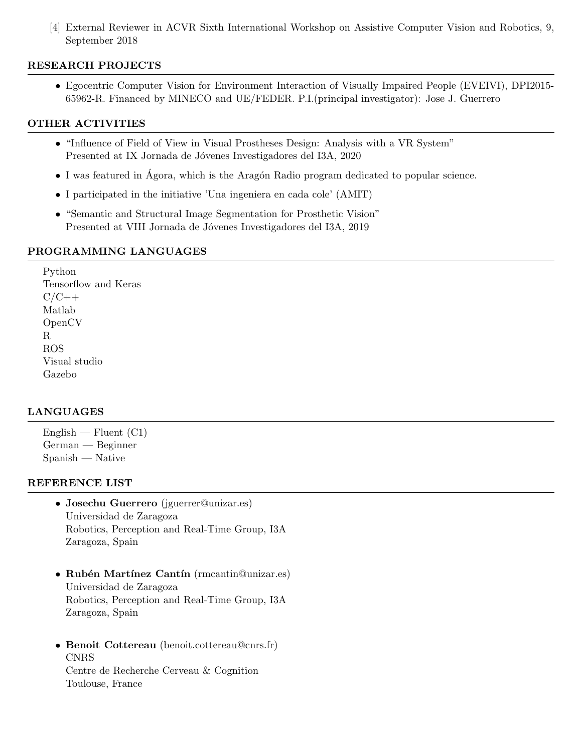[4] External Reviewer in ACVR Sixth International Workshop on Assistive Computer Vision and Robotics, 9, September 2018

# RESEARCH PROJECTS

• Egocentric Computer Vision for Environment Interaction of Visually Impaired People (EVEIVI), DPI2015- 65962-R. Financed by MINECO and UE/FEDER. P.I.(principal investigator): Jose J. Guerrero

#### OTHER ACTIVITIES

- "Influence of Field of View in Visual Prostheses Design: Analysis with a VR System" Presented at IX Jornada de Jóvenes Investigadores del I3A, 2020
- I was featured in Ágora, which is the Aragón Radio program dedicated to popular science.
- I participated in the initiative 'Una ingeniera en cada cole' (AMIT)
- "Semantic and Structural Image Segmentation for Prosthetic Vision" Presented at VIII Jornada de Jóvenes Investigadores del I3A, 2019

#### PROGRAMMING LANGUAGES

Python Tensorflow and Keras  $C/C++$ Matlab OpenCV R ROS Visual studio Gazebo

# LANGUAGES

 $English - Fluent (C1)$ German — Beginner Spanish — Native

#### REFERENCE LIST

- Josechu Guerrero (jguerrer@unizar.es) Universidad de Zaragoza Robotics, Perception and Real-Time Group, I3A Zaragoza, Spain
- Rubén Martínez Cantín (rmcantin@unizar.es) Universidad de Zaragoza Robotics, Perception and Real-Time Group, I3A Zaragoza, Spain
- Benoit Cottereau (benoit.cottereau@cnrs.fr) CNRS Centre de Recherche Cerveau & Cognition Toulouse, France